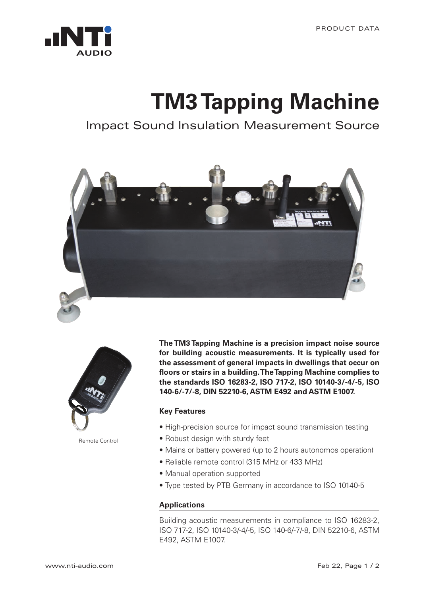

## **TM3 Tapping Machine**

Impact Sound Insulation Measurement Source





Remote Control

**The TM3 Tapping Machine is a precision impact noise source for building acoustic measurements. It is typically used for the assessment of general impacts in dwellings that occur on floors or stairs in a building. The Tapping Machine complies to the standards ISO 16283-2, ISO 717-2, ISO 10140-3/-4/-5, ISO 140-6/-7/-8, DIN 52210-6, ASTM E492 and ASTM E1007.**

## **Key Features**

- High-precision source for impact sound transmission testing
- Robust design with sturdy feet
- Mains or battery powered (up to 2 hours autonomos operation)
- Reliable remote control (315 MHz or 433 MHz)
- Manual operation supported
- Type tested by PTB Germany in accordance to ISO 10140-5

## **Applications**

Building acoustic measurements in compliance to ISO 16283-2, ISO 717-2, ISO 10140-3/-4/-5, ISO 140-6/-7/-8, DIN 52210-6, ASTM E492, ASTM E1007.